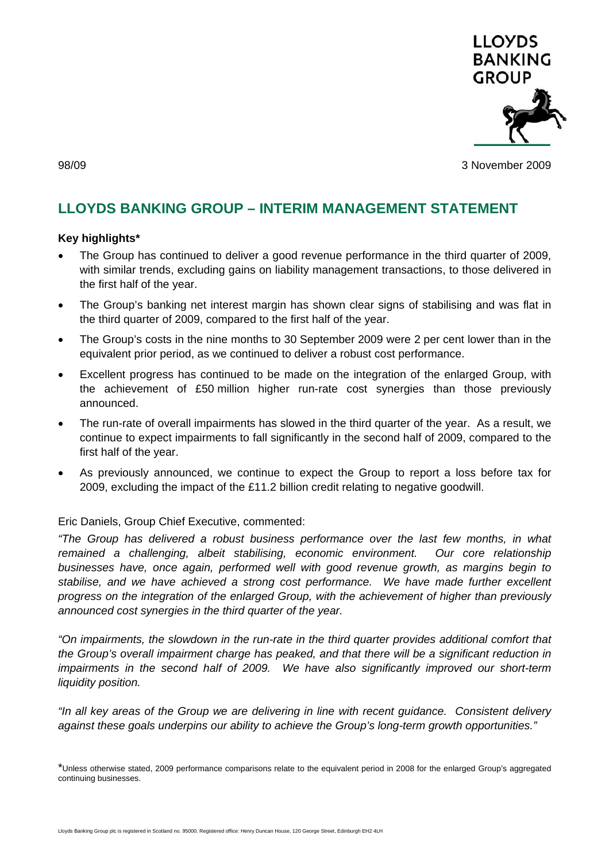

98/09 3 November 2009

# **LLOYDS BANKING GROUP – INTERIM MANAGEMENT STATEMENT**

## **Key highlights\***

- The Group has continued to deliver a good revenue performance in the third quarter of 2009, with similar trends, excluding gains on liability management transactions, to those delivered in the first half of the year.
- The Group's banking net interest margin has shown clear signs of stabilising and was flat in the third quarter of 2009, compared to the first half of the year.
- The Group's costs in the nine months to 30 September 2009 were 2 per cent lower than in the equivalent prior period, as we continued to deliver a robust cost performance.
- Excellent progress has continued to be made on the integration of the enlarged Group, with the achievement of £50 million higher run-rate cost synergies than those previously announced.
- The run-rate of overall impairments has slowed in the third quarter of the year. As a result, we continue to expect impairments to fall significantly in the second half of 2009, compared to the first half of the year.
- As previously announced, we continue to expect the Group to report a loss before tax for 2009, excluding the impact of the £11.2 billion credit relating to negative goodwill.

## Eric Daniels, Group Chief Executive, commented:

*"The Group has delivered a robust business performance over the last few months, in what remained a challenging, albeit stabilising, economic environment. Our core relationship businesses have, once again, performed well with good revenue growth, as margins begin to stabilise, and we have achieved a strong cost performance. We have made further excellent progress on the integration of the enlarged Group, with the achievement of higher than previously announced cost synergies in the third quarter of the year.* 

*"On impairments, the slowdown in the run-rate in the third quarter provides additional comfort that the Group's overall impairment charge has peaked, and that there will be a significant reduction in impairments in the second half of 2009. We have also significantly improved our short-term liquidity position.* 

*"In all key areas of the Group we are delivering in line with recent guidance. Consistent delivery against these goals underpins our ability to achieve the Group's long-term growth opportunities."* 

\*Unless otherwise stated, 2009 performance comparisons relate to the equivalent period in 2008 for the enlarged Group's aggregated continuing businesses.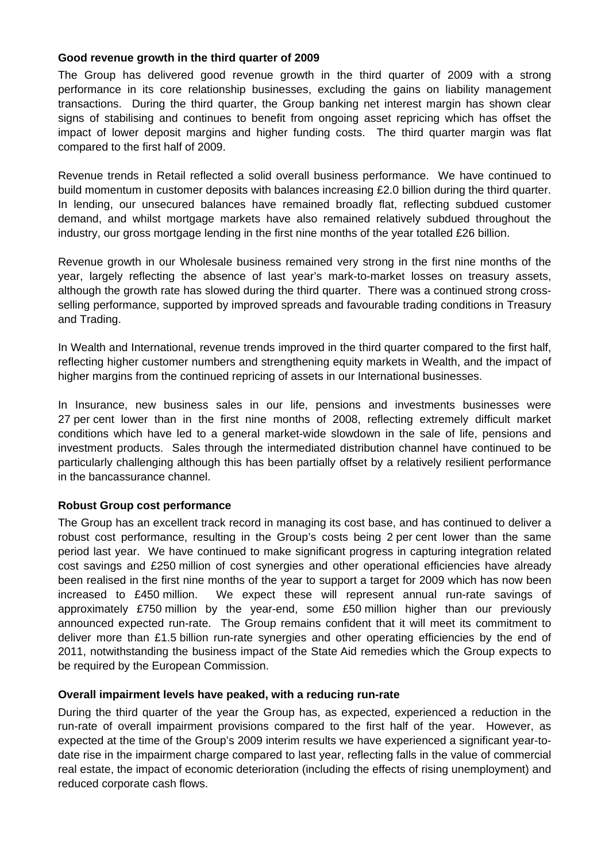## **Good revenue growth in the third quarter of 2009**

The Group has delivered good revenue growth in the third quarter of 2009 with a strong performance in its core relationship businesses, excluding the gains on liability management transactions. During the third quarter, the Group banking net interest margin has shown clear signs of stabilising and continues to benefit from ongoing asset repricing which has offset the impact of lower deposit margins and higher funding costs. The third quarter margin was flat compared to the first half of 2009.

Revenue trends in Retail reflected a solid overall business performance. We have continued to build momentum in customer deposits with balances increasing £2.0 billion during the third quarter. In lending, our unsecured balances have remained broadly flat, reflecting subdued customer demand, and whilst mortgage markets have also remained relatively subdued throughout the industry, our gross mortgage lending in the first nine months of the year totalled £26 billion.

Revenue growth in our Wholesale business remained very strong in the first nine months of the year, largely reflecting the absence of last year's mark-to-market losses on treasury assets, although the growth rate has slowed during the third quarter. There was a continued strong crossselling performance, supported by improved spreads and favourable trading conditions in Treasury and Trading.

In Wealth and International, revenue trends improved in the third quarter compared to the first half, reflecting higher customer numbers and strengthening equity markets in Wealth, and the impact of higher margins from the continued repricing of assets in our International businesses.

In Insurance, new business sales in our life, pensions and investments businesses were 27 per cent lower than in the first nine months of 2008, reflecting extremely difficult market conditions which have led to a general market-wide slowdown in the sale of life, pensions and investment products. Sales through the intermediated distribution channel have continued to be particularly challenging although this has been partially offset by a relatively resilient performance in the bancassurance channel.

## **Robust Group cost performance**

The Group has an excellent track record in managing its cost base, and has continued to deliver a robust cost performance, resulting in the Group's costs being 2 per cent lower than the same period last year. We have continued to make significant progress in capturing integration related cost savings and £250 million of cost synergies and other operational efficiencies have already been realised in the first nine months of the year to support a target for 2009 which has now been increased to £450 million. We expect these will represent annual run-rate savings of approximately £750 million by the year-end, some £50 million higher than our previously announced expected run-rate. The Group remains confident that it will meet its commitment to deliver more than £1.5 billion run-rate synergies and other operating efficiencies by the end of 2011, notwithstanding the business impact of the State Aid remedies which the Group expects to be required by the European Commission.

## **Overall impairment levels have peaked, with a reducing run-rate**

During the third quarter of the year the Group has, as expected, experienced a reduction in the run-rate of overall impairment provisions compared to the first half of the year. However, as expected at the time of the Group's 2009 interim results we have experienced a significant year-todate rise in the impairment charge compared to last year, reflecting falls in the value of commercial real estate, the impact of economic deterioration (including the effects of rising unemployment) and reduced corporate cash flows.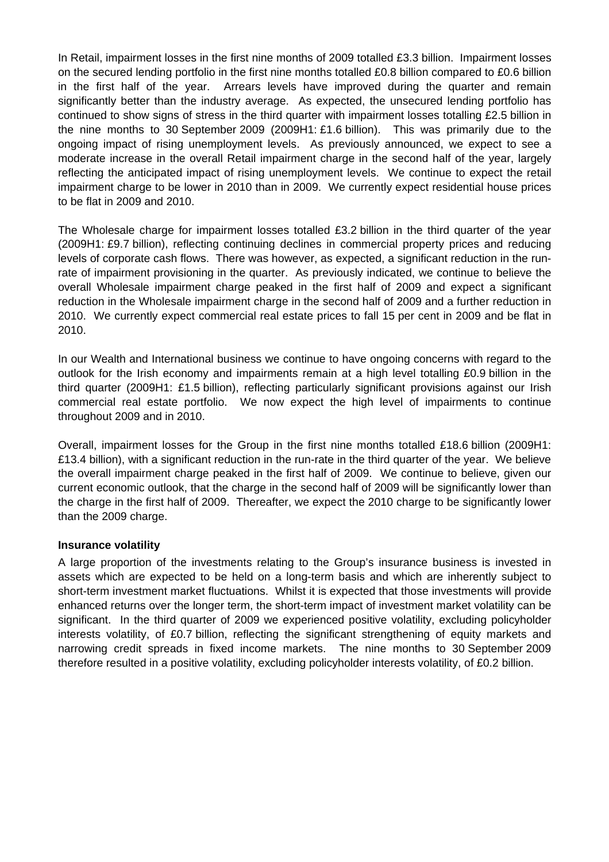In Retail, impairment losses in the first nine months of 2009 totalled £3.3 billion. Impairment losses on the secured lending portfolio in the first nine months totalled £0.8 billion compared to £0.6 billion in the first half of the year. Arrears levels have improved during the quarter and remain significantly better than the industry average. As expected, the unsecured lending portfolio has continued to show signs of stress in the third quarter with impairment losses totalling £2.5 billion in the nine months to 30 September 2009 (2009H1: £1.6 billion). This was primarily due to the ongoing impact of rising unemployment levels. As previously announced, we expect to see a moderate increase in the overall Retail impairment charge in the second half of the year, largely reflecting the anticipated impact of rising unemployment levels. We continue to expect the retail impairment charge to be lower in 2010 than in 2009. We currently expect residential house prices to be flat in 2009 and 2010.

The Wholesale charge for impairment losses totalled £3.2 billion in the third quarter of the year (2009H1: £9.7 billion), reflecting continuing declines in commercial property prices and reducing levels of corporate cash flows. There was however, as expected, a significant reduction in the runrate of impairment provisioning in the quarter. As previously indicated, we continue to believe the overall Wholesale impairment charge peaked in the first half of 2009 and expect a significant reduction in the Wholesale impairment charge in the second half of 2009 and a further reduction in 2010. We currently expect commercial real estate prices to fall 15 per cent in 2009 and be flat in 2010.

In our Wealth and International business we continue to have ongoing concerns with regard to the outlook for the Irish economy and impairments remain at a high level totalling £0.9 billion in the third quarter (2009H1: £1.5 billion), reflecting particularly significant provisions against our Irish commercial real estate portfolio. We now expect the high level of impairments to continue throughout 2009 and in 2010.

Overall, impairment losses for the Group in the first nine months totalled £18.6 billion (2009H1: £13.4 billion), with a significant reduction in the run-rate in the third quarter of the year. We believe the overall impairment charge peaked in the first half of 2009. We continue to believe, given our current economic outlook, that the charge in the second half of 2009 will be significantly lower than the charge in the first half of 2009. Thereafter, we expect the 2010 charge to be significantly lower than the 2009 charge.

## **Insurance volatility**

A large proportion of the investments relating to the Group's insurance business is invested in assets which are expected to be held on a long-term basis and which are inherently subject to short-term investment market fluctuations. Whilst it is expected that those investments will provide enhanced returns over the longer term, the short-term impact of investment market volatility can be significant. In the third quarter of 2009 we experienced positive volatility, excluding policyholder interests volatility, of £0.7 billion, reflecting the significant strengthening of equity markets and narrowing credit spreads in fixed income markets. The nine months to 30 September 2009 therefore resulted in a positive volatility, excluding policyholder interests volatility, of £0.2 billion.